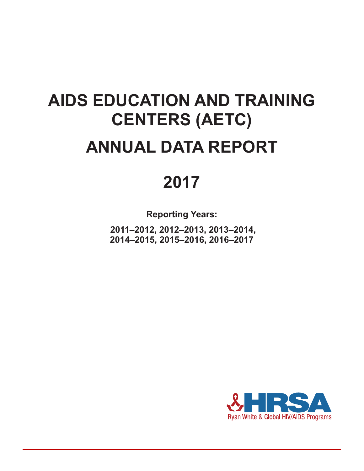# **AIDS EDUCATION AND TRAINING CENTERS (AETC) ANNUAL DATA REPORT**

## **2017**

**Reporting Years:**

 **2011–2012, 2012–2013, 2013–2014, 2014–2015, 2015–2016, 2016–2017**

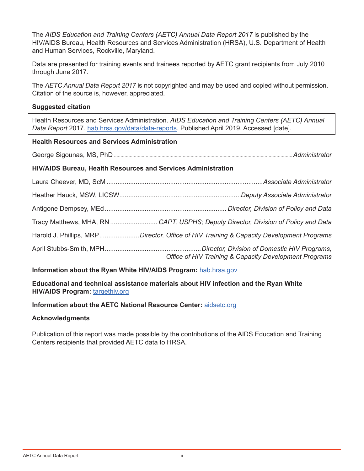The *AIDS Education and Training Centers (AETC) Annual Data Report 2017* is published by the HIV/AIDS Bureau, Health Resources and Services Administration (HRSA), U.S. Department of Health and Human Services, Rockville, Maryland.

Data are presented for training events and trainees reported by AETC grant recipients from July 2010 through June 2017.

The *AETC Annual Data Report 2017* is not copyrighted and may be used and copied without permission. Citation of the source is, however, appreciated.

#### **Suggested citation**

Health Resources and Services Administration. *AIDS Education and Training Centers (AETC) Annual Data Report* 2017. [hab.hrsa.gov/data/data-reports](http://hab.hrsa.gov/data/data-reports). Published April 2019. Accessed [date].

#### **Health Resources and Services Administration**

George Sigounas, MS, PhD .......................................................................................................................................*Administrator*

#### **HIV/AIDS Bureau, Health Resources and Services Administration**

| Harold J. Phillips, MRPDirector, Office of HIV Training & Capacity Development Programs |
|-----------------------------------------------------------------------------------------|
| Office of HIV Training & Capacity Development Programs                                  |

**Information about the Ryan White HIV/AIDS Program: [hab.hrsa.gov](http://hab.hrsa.gov)** 

**Educational and technical assistance materials about HIV infection and the Ryan White HIV/AIDS Program:** [targethiv.org](https://targethiv.org)

#### **Information about the AETC National Resource Center:** [aidsetc.org](https://aidsetc.org)

#### **Acknowledgments**

Publication of this report was made possible by the contributions of the AIDS Education and Training Centers recipients that provided AETC data to HRSA.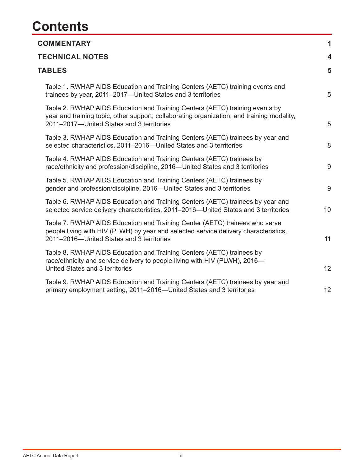## **Contents**

| <b>COMMENTARY</b>                                                                                                                                                                                                       | 1                       |
|-------------------------------------------------------------------------------------------------------------------------------------------------------------------------------------------------------------------------|-------------------------|
| <b>TECHNICAL NOTES</b>                                                                                                                                                                                                  | $\overline{\mathbf{4}}$ |
| <b>TABLES</b>                                                                                                                                                                                                           | 5                       |
| Table 1. RWHAP AIDS Education and Training Centers (AETC) training events and<br>trainees by year, 2011–2017—United States and 3 territories                                                                            | 5                       |
| Table 2. RWHAP AIDS Education and Training Centers (AETC) training events by<br>year and training topic, other support, collaborating organization, and training modality,<br>2011-2017-United States and 3 territories | 5                       |
| Table 3. RWHAP AIDS Education and Training Centers (AETC) trainees by year and<br>selected characteristics, 2011-2016-United States and 3 territories                                                                   | 8                       |
| Table 4. RWHAP AIDS Education and Training Centers (AETC) trainees by<br>race/ethnicity and profession/discipline, 2016-United States and 3 territories                                                                 | 9                       |
| Table 5. RWHAP AIDS Education and Training Centers (AETC) trainees by<br>gender and profession/discipline, 2016-United States and 3 territories                                                                         | 9                       |
| Table 6. RWHAP AIDS Education and Training Centers (AETC) trainees by year and<br>selected service delivery characteristics, 2011-2016-United States and 3 territories                                                  | 10                      |
| Table 7. RWHAP AIDS Education and Training Center (AETC) trainees who serve<br>people living with HIV (PLWH) by year and selected service delivery characteristics,<br>2011-2016-United States and 3 territories        | 11                      |
| Table 8. RWHAP AIDS Education and Training Centers (AETC) trainees by<br>race/ethnicity and service delivery to people living with HIV (PLWH), 2016-<br>United States and 3 territories                                 | 12 <sup>°</sup>         |
| Table 9. RWHAP AIDS Education and Training Centers (AETC) trainees by year and<br>primary employment setting, 2011–2016–United States and 3 territories                                                                 | 12                      |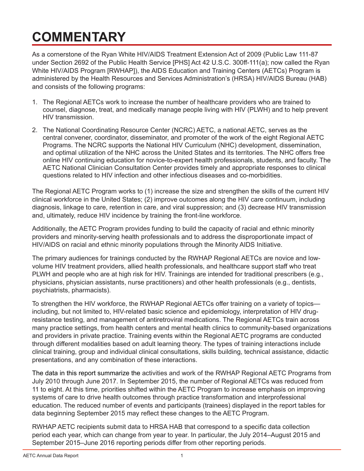## <span id="page-3-0"></span>**COMMENTARY**

As a cornerstone of the Ryan White HIV/AIDS Treatment Extension Act of 2009 (Public Law 111-87 under Section 2692 of the Public Health Service [PHS] Act 42 U.S.C. 300ff-111(a); now called the Ryan White HIV/AIDS Program [RWHAP]), the AIDS Education and Training Centers (AETCs) Program is administered by the Health Resources and Services Administration's (HRSA) HIV/AIDS Bureau (HAB) and consists of the following programs:

- 1. The Regional AETCs work to increase the number of healthcare providers who are trained to counsel, diagnose, treat, and medically manage people living with HIV (PLWH) and to help prevent HIV transmission.
- 2. The National Coordinating Resource Center (NCRC) AETC, a national AETC, serves as the central convener, coordinator, disseminator, and promoter of the work of the eight Regional AETC Programs. The NCRC supports the National HIV Curriculum (NHC) development, dissemination, and optimal utilization of the NHC across the United States and its territories. The NHC offers free online HIV continuing education for novice-to-expert health professionals, students, and faculty. The AETC National Clinician Consultation Center provides timely and appropriate responses to clinical questions related to HIV infection and other infectious diseases and co-morbidities.

The Regional AETC Program works to (1) increase the size and strengthen the skills of the current HIV clinical workforce in the United States; (2) improve outcomes along the HIV care continuum, including diagnosis, linkage to care, retention in care, and viral suppression; and (3) decrease HIV transmission and, ultimately, reduce HIV incidence by training the front-line workforce.

Additionally, the AETC Program provides funding to build the capacity of racial and ethnic minority providers and minority-serving health professionals and to address the disproportionate impact of HIV/AIDS on racial and ethnic minority populations through the Minority AIDS Initiative.

The primary audiences for trainings conducted by the RWHAP Regional AETCs are novice and lowvolume HIV treatment providers, allied health professionals, and healthcare support staff who treat PLWH and people who are at high risk for HIV. Trainings are intended for traditional prescribers (e.g., physicians, physician assistants, nurse practitioners) and other health professionals (e.g., dentists, psychiatrists, pharmacists).

To strengthen the HIV workforce, the RWHAP Regional AETCs offer training on a variety of topics including, but not limited to, HIV-related basic science and epidemiology, interpretation of HIV drugresistance testing, and management of antiretroviral medications. The Regional AETCs train across many practice settings, from health centers and mental health clinics to community-based organizations and providers in private practice. Training events within the Regional AETC programs are conducted through different modalities based on adult learning theory. The types of training interactions include clinical training, group and individual clinical consultations, skills building, technical assistance, didactic presentations, and any combination of these interactions.

The data in this report summarize the activities and work of the RWHAP Regional AETC Programs from July 2010 through June 2017. In September 2015, the number of Regional AETCs was reduced from 11 to eight. At this time, priorities shifted within the AETC Program to increase emphasis on improving systems of care to drive health outcomes through practice transformation and interprofessional education. The reduced number of events and participants (trainees) displayed in the report tables for data beginning September 2015 may reflect these changes to the AETC Program.

RWHAP AETC recipients submit data to HRSA HAB that correspond to a specific data collection period each year, which can change from year to year. In particular, the July 2014–August 2015 and September 2015–June 2016 reporting periods differ from other reporting periods.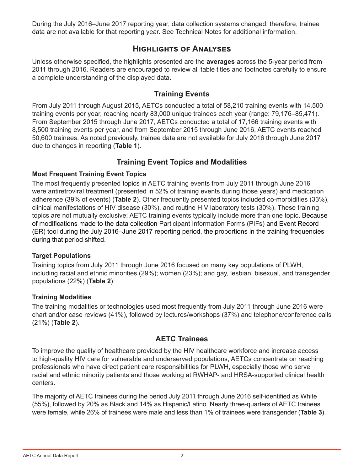During the July 2016–June 2017 reporting year, data collection systems changed; therefore, trainee data are not available for that reporting year. See Technical Notes for additional information.

## **Highlights of Analyses**

Unless otherwise specified, the highlights presented are the **averages** across the 5-year period from 2011 through 2016. Readers are encouraged to review all table titles and footnotes carefully to ensure a complete understanding of the displayed data.

### **Training Events**

From July 2011 through August 2015, AETCs conducted a total of 58,210 training events with 14,500 training events per year, reaching nearly 83,000 unique trainees each year (range: 79,176–85,471). From September 2015 through June 2017, AETCs conducted a total of 17,166 training events with 8,500 training events per year, and from September 2015 through June 2016, AETC events reached 50,600 trainees. As noted previously, trainee data are not available for July 2016 through June 2017 due to changes in reporting (**Table 1**).

### **Training Event Topics and Modalities**

#### **Most Frequent Training Event Topics**

The most frequently presented topics in AETC training events from July 2011 through June 2016 were antiretroviral treatment (presented in 52% of training events during those years) and medication adherence (39% of events) (**Table 2**). Other frequently presented topics included co-morbidities (33%), clinical manifestations of HIV disease (30%), and routine HIV laboratory tests (30%). These training topics are not mutually exclusive; AETC training events typically include more than one topic. Because of modifications made to the data collection Participant Information Forms (PIFs) and Event Record (ER) tool during the July 2016–June 2017 reporting period, the proportions in the training frequencies during that period shifted.

#### **Target Populations**

Training topics from July 2011 through June 2016 focused on many key populations of PLWH, including racial and ethnic minorities (29%); women (23%); and gay, lesbian, bisexual, and transgender populations (22%) (**Table 2**).

#### **Training Modalities**

The training modalities or technologies used most frequently from July 2011 through June 2016 were chart and/or case reviews (41%), followed by lectures/workshops (37%) and telephone/conference calls (21%) (**Table 2**).

#### **AETC Trainees**

To improve the quality of healthcare provided by the HIV healthcare workforce and increase access to high-quality HIV care for vulnerable and underserved populations, AETCs concentrate on reaching professionals who have direct patient care responsibilities for PLWH, especially those who serve racial and ethnic minority patients and those working at RWHAP- and HRSA-supported clinical health centers.

The majority of AETC trainees during the period July 2011 through June 2016 self-identified as White (55%), followed by 20% as Black and 14% as Hispanic/Latino. Nearly three-quarters of AETC trainees were female, while 26% of trainees were male and less than 1% of trainees were transgender (**Table 3**).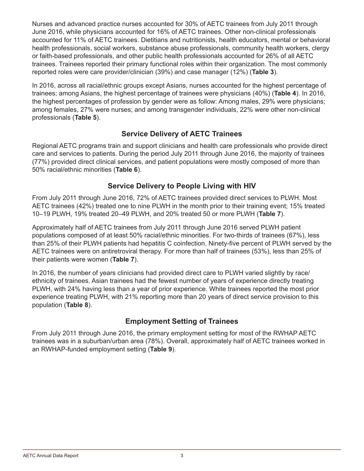Nurses and advanced practice nurses accounted for 30% of AETC trainees from July 2011 through June 2016, while physicians accounted for 16% of AETC trainees. Other non-clinical professionals accounted for 11% of AETC trainees. Dietitians and nutritionists, health educators, mental or behavioral health professionals, social workers, substance abuse professionals, community health workers, clergy or faith-based professionals, and other public health professionals accounted for 26% of all AETC trainees. Trainees reported their primary functional roles within their organization. The most commonly reported roles were care provider/clinician (39%) and case manager (12%) (**Table 3**).

In 2016, across all racial/ethnic groups except Asians, nurses accounted for the highest percentage of trainees; among Asians, the highest percentage of trainees were physicians (40%) (**Table 4**). In 2016, the highest percentages of profession by gender were as follow: Among males, 29% were physicians; among females, 27% were nurses; and among transgender individuals, 22% were other non-clinical professionals (**Table 5**).

## **Service Delivery of AETC Trainees**

Regional AETC programs train and support clinicians and health care professionals who provide direct care and services to patients. During the period July 2011 through June 2016, the majority of trainees (77%) provided direct clinical services, and patient populations were mostly composed of more than 50% racial/ethnic minorities (**Table 6**).

### **Service Delivery to People Living with HIV**

From July 2011 through June 2016, 72% of AETC trainees provided direct services to PLWH. Most AETC trainees (42%) treated one to nine PLWH in the month prior to their training event; 15% treated 10–19 PLWH, 19% treated 20–49 PLWH, and 20% treated 50 or more PLWH (**Table 7**).

Approximately half of AETC trainees from July 2011 through June 2016 served PLWH patient populations composed of at least 50% racial/ethnic minorities. For two-thirds of trainees (67%), less than 25% of their PLWH patients had hepatitis C coinfection. Ninety-five percent of PLWH served by the AETC trainees were on antiretroviral therapy. For more than half of trainees (53%), less than 25% of their patients were women (**Table 7**).

In 2016, the number of years clinicians had provided direct care to PLWH varied slightly by race/ ethnicity of trainees. Asian trainees had the fewest number of years of experience directly treating PLWH, with 24% having less than a year of prior experience. White trainees reported the most prior experience treating PLWH, with 21% reporting more than 20 years of direct service provision to this population (**Table 8**).

## **Employment Setting of Trainees**

From July 2011 through June 2016, the primary employment setting for most of the RWHAP AETC trainees was in a suburban/urban area (78%). Overall, approximately half of AETC trainees worked in an RWHAP-funded employment setting (**Table 9**).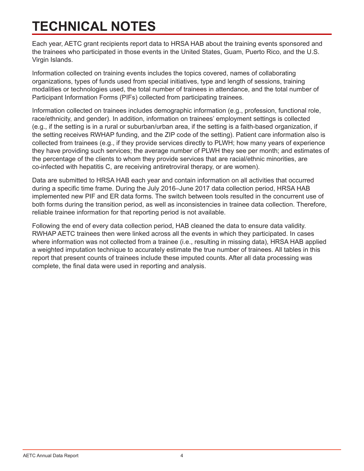## <span id="page-6-0"></span>**TECHNICAL NOTES**

Each year, AETC grant recipients report data to HRSA HAB about the training events sponsored and the trainees who participated in those events in the United States, Guam, Puerto Rico, and the U.S. Virgin Islands.

Information collected on training events includes the topics covered, names of collaborating organizations, types of funds used from special initiatives, type and length of sessions, training modalities or technologies used, the total number of trainees in attendance, and the total number of Participant Information Forms (PIFs) collected from participating trainees.

Information collected on trainees includes demographic information (e.g., profession, functional role, race/ethnicity, and gender). In addition, information on trainees' employment settings is collected (e.g., if the setting is in a rural or suburban/urban area, if the setting is a faith-based organization, if the setting receives RWHAP funding, and the ZIP code of the setting). Patient care information also is collected from trainees (e.g., if they provide services directly to PLWH; how many years of experience they have providing such services; the average number of PLWH they see per month; and estimates of the percentage of the clients to whom they provide services that are racial/ethnic minorities, are co-infected with hepatitis C, are receiving antiretroviral therapy, or are women).

Data are submitted to HRSA HAB each year and contain information on all activities that occurred during a specific time frame. During the July 2016–June 2017 data collection period, HRSA HAB implemented new PIF and ER data forms. The switch between tools resulted in the concurrent use of both forms during the transition period, as well as inconsistencies in trainee data collection. Therefore, reliable trainee information for that reporting period is not available.

Following the end of every data collection period, HAB cleaned the data to ensure data validity. RWHAP AETC trainees then were linked across all the events in which they participated. In cases where information was not collected from a trainee (i.e., resulting in missing data), HRSA HAB applied a weighted imputation technique to accurately estimate the true number of trainees. All tables in this report that present counts of trainees include these imputed counts. After all data processing was complete, the final data were used in reporting and analysis.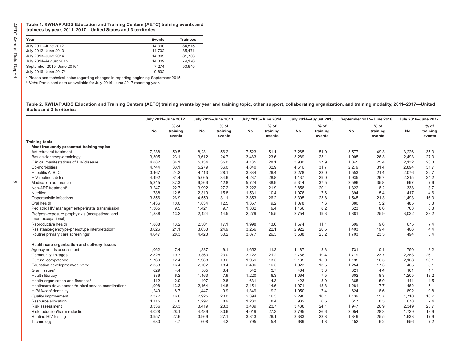<span id="page-7-0"></span>**Table 1. RWHAP AIDS Education and Training Centers (AETC) training events and trainees by year, 2011–2017—United States and 3 territories**

| Year                                  | <b>Events</b> | <b>Trainees</b> |
|---------------------------------------|---------------|-----------------|
| July 2011-June 2012                   | 14.390        | 84.575          |
| July 2012-June 2013                   | 14.702        | 85.471          |
| July 2013-June 2014                   | 14.809        | 81.736          |
| July 2014-August 2015                 | 14.309        | 79.176          |
| September 2015-June 2016 <sup>a</sup> | 7.274         | 50.645          |
| July 2016-June 2017 <sup>b</sup>      | 9.892         |                 |

a Please see technical notes regarding changes in reporting beginning September 2015.

<sup>b</sup> *Note:* Participant data unavailable for July 2016–June 2017 reporting year.

**Table 2. RWHAP AIDS Education and Training Centers (AETC) training events by year and training topic, other support, collaborating organization, and training modality, 2011–2017—United States and 3 territories**

|                                                                      |       | July 2011-June 2012          |       | July 2012-June 2013          |       | July 2013-June 2014          | <b>July 2014-August 2015</b> |                              | September 2015-June 2016 |                              | July 2016-June 2017 |                              |
|----------------------------------------------------------------------|-------|------------------------------|-------|------------------------------|-------|------------------------------|------------------------------|------------------------------|--------------------------|------------------------------|---------------------|------------------------------|
|                                                                      | No.   | $%$ of<br>training<br>events | No.   | $%$ of<br>training<br>events | No.   | $%$ of<br>training<br>events | No.                          | $%$ of<br>training<br>events | No.                      | $%$ of<br>training<br>events | No.                 | $%$ of<br>training<br>events |
| <b>Training topic</b>                                                |       |                              |       |                              |       |                              |                              |                              |                          |                              |                     |                              |
| Most frequently presented training topics                            |       |                              |       |                              |       |                              |                              |                              |                          |                              |                     |                              |
| Antiretroviral treatment                                             | 7,238 | 50.5                         | 8,231 | 56.2                         | 7,523 | 51.1                         | 7,265                        | 51.0                         | 3,577                    | 49.3                         | 3,226               | 35.3                         |
| Basic science/epidemiology                                           | 3,305 | 23.1                         | 3,612 | 24.7                         | 3.483 | 23.6                         | 3,289                        | 23.1                         | 1,905                    | 26.3                         | 2,493               | 27.3                         |
| Clinical manifestations of HIV disease                               | 4,882 | 34.1                         | 5,134 | 35.0                         | 4,135 | 28.1                         | 3,980                        | 27.9                         | 1,845                    | 25.4                         | 2,132               | 23.3                         |
| Co-morbidities                                                       | 4,744 | 33.1                         | 5,279 | 36.0                         | 4,840 | 32.9                         | 4,516                        | 31.7                         | 2,279                    | 31.4                         | 2,894               | 31.7                         |
| Hepatitis A, B, C                                                    | 3,467 | 24.2                         | 4,113 | 28.1                         | 3,884 | 26.4                         | 3,278                        | 23.0                         | 1,553                    | 21.4                         | 2,076               | 22.7                         |
| HIV routine lab test                                                 | 4,492 | 31.4                         | 5,065 | 34.6                         | 4,237 | 28.8                         | 4,137                        | 29.0                         | 1,935                    | 26.7                         | 2,215               | 24.2                         |
| Medication adherence                                                 | 5,345 | 37.3                         | 6,266 | 42.8                         | 5,724 | 38.9                         | 5,344                        | 37.5                         | 2,596                    | 35.8                         | 697                 | 7.6                          |
| Non-ART treatment <sup>a</sup>                                       | 3,247 | 22.7                         | 3,992 | 27.2                         | 3,222 | 21.9                         | 2,858                        | 20.1                         | 1,322                    | 18.2                         | 338                 | 3.7                          |
| Nutrition                                                            | 1,788 | 12.5                         | 2,319 | 15.8                         | 1,531 | 10.4                         | 1,076                        | 7.6                          | 394                      | 5.4                          | 417                 | 4.6                          |
| Opportunistic infections                                             | 3,856 | 26.9                         | 4,559 | 31.1                         | 3,853 | 26.2                         | 3,395                        | 23.8                         | 1,545                    | 21.3                         | 1,493               | 16.3                         |
| Oral health                                                          | 1.436 | 10.0                         | 1,834 | 12.5                         | 1,357 | 9.2                          | 1,078                        | 7.6                          | 380                      | 5.2                          | 485                 | 5.3                          |
| Pediatric HIV management/perinatal transmission                      | 1,365 | 9.5                          | 1,421 | 9.7                          | 1,382 | 9.4                          | 1,166                        | 8.2                          | 623                      | 8.6                          | 763                 | 8.3                          |
| Pre/post-exposure prophylaxis (occupational and<br>non-occupational) | 1,888 | 13.2                         | 2,124 | 14.5                         | 2,279 | 15.5                         | 2,754                        | 19.3                         | 1,881                    | 25.9                         | 3,032               | 33.2                         |
| Reproductive health                                                  | 1,888 | 13.2                         | 2,501 | 17.1                         | 1,998 | 13.6                         | 1,574                        | 11.1                         | 699                      | 9.6                          | 675                 | 7.4                          |
| Resistance/genotype-phenotype interpretation <sup>a</sup>            | 3,026 | 21.1                         | 3,653 | 24.9                         | 3,256 | 22.1                         | 2,922                        | 20.5                         | 1,403                    | 19.4                         | 406                 | 4.4                          |
| Routine primary care screenings <sup>a</sup>                         | 4,047 | 28.3                         | 4,423 | 30.2                         | 3,877 | 26.3                         | 3,588                        | 25.2                         | 1,703                    | 23.5                         | 494                 | 5.4                          |
| Health care organization and delivery issues                         |       |                              |       |                              |       |                              |                              |                              |                          |                              |                     |                              |
| Agency needs assessment                                              | 1,062 | 7.4                          | 1,337 | 9.1                          | 1,652 | 11.2                         | 1,187                        | 8.3                          | 731                      | 10.1                         | 750                 | 8.2                          |
| <b>Community linkages</b>                                            | 2,828 | 19.7                         | 3,363 | 23.0                         | 3,122 | 21.2                         | 2,766                        | 19.4                         | 1,719                    | 23.7                         | 2,383               | 26.1                         |
| Cultural competence                                                  | 1.769 | 12.4                         | 1,988 | 13.6                         | 1,959 | 13.3                         | 2,135                        | 15.0                         | 1,195                    | 16.5                         | 2,108               | 23.1                         |
| Education development/delivery <sup>a</sup>                          | 2,353 | 16.4                         | 2.702 | 18.4                         | 2,406 | 16.3                         | 1,923                        | 13.5                         | 1,254                    | 17.3                         | 465                 | 5.1                          |
| Grant issues <sup>a</sup>                                            | 629   | 4.4                          | 505   | 3.4                          | 542   | 3.7                          | 464                          | 3.3                          | 321                      | 4.4                          | 101                 | 1.1                          |
| Health literacy                                                      | 886   | 6.2                          | 1,163 | 7.9                          | 1,220 | 8.3                          | 1,064                        | 7.5                          | 602                      | 8.3                          | 1,205               | 13.2                         |
| Health organization and finances <sup>a</sup>                        | 412   | 2.9                          | 407   | 2.8                          | 631   | 4.3                          | 423                          | 3.0                          | 365                      | 5.0                          | 141                 | 1.5                          |
| Healthcare development/clinical service coordination <sup>a</sup>    | 1.908 | 13.3                         | 2,164 | 14.8                         | 2.151 | 14.6                         | 1,971                        | 13.8                         | 1,281                    | 17.7                         | 462                 | 5.1                          |
| HIPAA/confidentiality                                                | 1.249 | 8.7                          | 1,447 | 9.9                          | 1,349 | 9.2                          | 1,050                        | 7.4                          | 624                      | 8.6                          | 892                 | 9.8                          |
| <b>Quality improvement</b>                                           | 2,377 | 16.6                         | 2,925 | 20.0                         | 2,394 | 16.3                         | 2,290                        | 16.1                         | 1,139                    | 15.7                         | 1,710               | 18.7                         |
| Resource allocation                                                  | 1,115 | 7.8                          | 1,297 | 8.9                          | 1,232 | 8.4                          | 932                          | 6.5                          | 617                      | 8.5                          | 678                 | 7.4                          |
| <b>Risk assessment</b>                                               | 3,336 | 23.3                         | 3,419 | 23.3                         | 3,489 | 23.7                         | 3,438                        | 24.1                         | 1,947                    | 26.9                         | 2,349               | 25.7                         |
| Risk reduction/harm reduction                                        | 4,028 | 28.1                         | 4,489 | 30.6                         | 4,019 | 27.3                         | 3,795                        | 26.6                         | 2,054                    | 28.3                         | 1.729               | 18.9                         |
| Routine HIV testing                                                  | 3,957 | 27.6                         | 3,969 | 27.1                         | 3,843 | 26.1                         | 3,383                        | 23.8                         | 1,849                    | 25.5                         | 1,633               | 17.9                         |
| Technology                                                           | 680   | 4.7                          | 608   | 4.2                          | 795   | 5.4                          | 689                          | 4.8                          | 452                      | 6.2                          | 656                 | 7.2                          |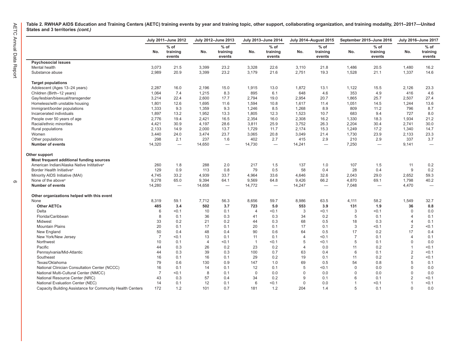**Table 2. RWHAP AIDS Education and Training Centers (AETC) training events by year and training topic, other support, collaborating organization, and training modality, 2011–2017—United States and 3 territories** *(cont.)*

| $%$ of<br>$%$ of<br>$%$ of<br>$%$ of<br>$%$ of<br>$%$ of<br>No.<br>training<br>training<br>training<br>No.<br>training<br>No.<br>training<br>No.<br>No.<br>training<br>No.<br>events<br>events<br>events<br>events<br>events<br>events<br><b>Psychosocial issues</b><br>3,073<br>21.5<br>3,399<br>23.2<br>3,328<br>22.6<br>20.5<br>1.480<br>Mental health<br>3,110<br>21.8<br>1,486<br>16.2<br>23.2<br>2,989<br>20.9<br>3,399<br>3,179<br>21.6<br>2,751<br>19.3<br>1,528<br>21.1<br>1,337<br>14.6<br>Substance abuse<br><b>Target populations</b><br>2,287<br>16.0<br>2,196<br>15.0<br>1,915<br>13.0<br>1,872<br>1,122<br>15.5<br>2,126<br>23.3<br>Adolescent (Ages 13-24 years)<br>13.1<br>7.4<br>1,215<br>8.3<br>895<br>648<br>4.6<br>353<br>4.9<br>4.6<br>Children (Birth-12 years)<br>1,064<br>6.1<br>416<br>22.4<br>2,600<br>17.7<br>2,794<br>2,954<br>20.7<br>25.7<br>2,507<br>Gay/lesbian/bisexual/transgender<br>3,214<br>19.0<br>1,865<br>27.4<br>12.6<br>1,695<br>1,594<br>1,051<br>14.5<br>13.6<br>Homeless/with unstable housing<br>1,801<br>11.6<br>10.8<br>1,617<br>11.4<br>1,244<br>1,333<br>9.3<br>1,359<br>9.3<br>1,268<br>8.9<br>809<br>11.2<br>796<br>Immigrant/border populations<br>1,246<br>8.5<br>8.7<br>1,897<br>13.2<br>1,952<br>13.3<br>1,805<br>12.3<br>1,523<br>10.7<br>683<br>9.4<br>727<br>8.0<br>Incarcerated individuals<br>2,776<br>19.4<br>2,421<br>16.5<br>2,354<br>16.0<br>2,308<br>16.2<br>1,330<br>18.3<br>1,934<br>21.2<br>People over 50 years of age<br>Racial/ethnic minorities<br>4,421<br>30.9<br>4,197<br>28.6<br>3,811<br>25.9<br>3,752<br>26.3<br>2,204<br>30.4<br>2,741<br>30.0<br>2,133<br>14.9<br>2,000<br>13.7<br>1,729<br>2,174<br>15.3<br>1,249<br>17.2<br>1,340<br>14.7<br>Rural populations<br>11.7<br>3,474<br>23.7<br>23.9<br>23.3<br>3,440<br>24.0<br>3,065<br>20.8<br>3,049<br>21.4<br>1,730<br>2,133<br>Women<br>298<br>2.1<br>237<br>402<br>2.7<br>2.9<br>210<br>2.9<br>337<br>3.7<br>1.6<br>415<br>Other populations<br>14,320<br>14,650<br>14,730<br>7,250<br><b>Number of events</b><br>14,241<br>9,141<br>$\overbrace{\phantom{123221111}}$<br>$\qquad \qquad -$<br>$\overline{\phantom{0}}$<br>$\overbrace{\phantom{123221111}}$<br>$\overline{\phantom{0}}$<br>Other support<br>Most frequent additional funding sources<br>American Indian/Alaska Native Inititative <sup>a</sup><br>1.8<br>288<br>2.0<br>217<br>137<br>107<br>1.5<br>260<br>1.5<br>1.0<br>11<br>0.2<br>9<br>Border Health Initiative <sup>a</sup><br>129<br>0.9<br>113<br>0.8<br>79<br>0.5<br>58<br>0.4<br>28<br>0.4<br>0.2<br>Minority AIDS Initiative (MAI)<br>4,745<br>33.2<br>4,939<br>33.7<br>4,964<br>33.6<br>4,646<br>32.6<br>2,043<br>29.0<br>2,652<br>59.3<br>9,278<br>9,394<br>None of the above <sup>a</sup><br>65.0<br>64.1<br>9,569<br>64.8<br>9,426<br>66.2<br>4,870<br>69.1<br>1,798<br>40.2<br>14,658<br><b>Number of events</b><br>14,280<br>14,772<br>14,247<br>7,048<br>4,470<br>$\overline{\phantom{0}}$<br>Other organizations helped with this event<br>8,319<br>59.1<br>7,712<br>56.3<br>8,656<br>59.7<br>8,986<br>63.5<br>4,111<br>58.2<br>1,549<br>32.7<br>None<br><b>Other AETCs</b><br>485<br>3.4<br>502<br>3.7<br>723<br>5.0<br>553<br>3.9<br>131<br>1.9<br>36<br>0.8<br>3<br>Delta<br>< 0.1<br>10<br>0.1<br>< 0.1<br>3<br>< 0.1<br>$\mathbf 0$<br>6<br>$\overline{4}$<br>< 0.1<br>0.0<br>Florida/Caribbean<br>8<br>0.1<br>36<br>0.3<br>0.3<br>34<br>0.2<br>5<br>0.1<br>0.1<br>41<br>4<br>Midwest<br>33<br>0.2<br>21<br>0.2<br>44<br>0.3<br>68<br>0.5<br>18<br>0.3<br>4<br>0.1<br>17<br>3<br>$\overline{2}$<br><b>Mountain Plains</b><br>20<br>0.1<br>0.1<br>20<br>0.1<br>17<br>0.1<br>< 0.1<br>< 0.1<br>50<br>48<br>0.4<br>90<br>17<br>17 |
|-------------------------------------------------------------------------------------------------------------------------------------------------------------------------------------------------------------------------------------------------------------------------------------------------------------------------------------------------------------------------------------------------------------------------------------------------------------------------------------------------------------------------------------------------------------------------------------------------------------------------------------------------------------------------------------------------------------------------------------------------------------------------------------------------------------------------------------------------------------------------------------------------------------------------------------------------------------------------------------------------------------------------------------------------------------------------------------------------------------------------------------------------------------------------------------------------------------------------------------------------------------------------------------------------------------------------------------------------------------------------------------------------------------------------------------------------------------------------------------------------------------------------------------------------------------------------------------------------------------------------------------------------------------------------------------------------------------------------------------------------------------------------------------------------------------------------------------------------------------------------------------------------------------------------------------------------------------------------------------------------------------------------------------------------------------------------------------------------------------------------------------------------------------------------------------------------------------------------------------------------------------------------------------------------------------------------------------------------------------------------------------------------------------------------------------------------------------------------------------------------------------------------------------------------------------------------------------------------------------------------------------------------------------------------------------------------------------------------------------------------------------------------------------------------------------------------------------------------------------------------------------------------------------------------------------------------------------------------------------------------------------------------------------------------------------------------------------------------------------------------------------------------------------------------------------------------------------------------------------------------------------------------------------------------------------------------------------------------------------------------------------------------------------------------------------------------------------------------------------------------------------------------------------------------------------------------------------------------------------------------------------------------------------------------------------------------------------|
|                                                                                                                                                                                                                                                                                                                                                                                                                                                                                                                                                                                                                                                                                                                                                                                                                                                                                                                                                                                                                                                                                                                                                                                                                                                                                                                                                                                                                                                                                                                                                                                                                                                                                                                                                                                                                                                                                                                                                                                                                                                                                                                                                                                                                                                                                                                                                                                                                                                                                                                                                                                                                                                                                                                                                                                                                                                                                                                                                                                                                                                                                                                                                                                                                                                                                                                                                                                                                                                                                                                                                                                                                                                                                                             |
|                                                                                                                                                                                                                                                                                                                                                                                                                                                                                                                                                                                                                                                                                                                                                                                                                                                                                                                                                                                                                                                                                                                                                                                                                                                                                                                                                                                                                                                                                                                                                                                                                                                                                                                                                                                                                                                                                                                                                                                                                                                                                                                                                                                                                                                                                                                                                                                                                                                                                                                                                                                                                                                                                                                                                                                                                                                                                                                                                                                                                                                                                                                                                                                                                                                                                                                                                                                                                                                                                                                                                                                                                                                                                                             |
|                                                                                                                                                                                                                                                                                                                                                                                                                                                                                                                                                                                                                                                                                                                                                                                                                                                                                                                                                                                                                                                                                                                                                                                                                                                                                                                                                                                                                                                                                                                                                                                                                                                                                                                                                                                                                                                                                                                                                                                                                                                                                                                                                                                                                                                                                                                                                                                                                                                                                                                                                                                                                                                                                                                                                                                                                                                                                                                                                                                                                                                                                                                                                                                                                                                                                                                                                                                                                                                                                                                                                                                                                                                                                                             |
|                                                                                                                                                                                                                                                                                                                                                                                                                                                                                                                                                                                                                                                                                                                                                                                                                                                                                                                                                                                                                                                                                                                                                                                                                                                                                                                                                                                                                                                                                                                                                                                                                                                                                                                                                                                                                                                                                                                                                                                                                                                                                                                                                                                                                                                                                                                                                                                                                                                                                                                                                                                                                                                                                                                                                                                                                                                                                                                                                                                                                                                                                                                                                                                                                                                                                                                                                                                                                                                                                                                                                                                                                                                                                                             |
|                                                                                                                                                                                                                                                                                                                                                                                                                                                                                                                                                                                                                                                                                                                                                                                                                                                                                                                                                                                                                                                                                                                                                                                                                                                                                                                                                                                                                                                                                                                                                                                                                                                                                                                                                                                                                                                                                                                                                                                                                                                                                                                                                                                                                                                                                                                                                                                                                                                                                                                                                                                                                                                                                                                                                                                                                                                                                                                                                                                                                                                                                                                                                                                                                                                                                                                                                                                                                                                                                                                                                                                                                                                                                                             |
|                                                                                                                                                                                                                                                                                                                                                                                                                                                                                                                                                                                                                                                                                                                                                                                                                                                                                                                                                                                                                                                                                                                                                                                                                                                                                                                                                                                                                                                                                                                                                                                                                                                                                                                                                                                                                                                                                                                                                                                                                                                                                                                                                                                                                                                                                                                                                                                                                                                                                                                                                                                                                                                                                                                                                                                                                                                                                                                                                                                                                                                                                                                                                                                                                                                                                                                                                                                                                                                                                                                                                                                                                                                                                                             |
|                                                                                                                                                                                                                                                                                                                                                                                                                                                                                                                                                                                                                                                                                                                                                                                                                                                                                                                                                                                                                                                                                                                                                                                                                                                                                                                                                                                                                                                                                                                                                                                                                                                                                                                                                                                                                                                                                                                                                                                                                                                                                                                                                                                                                                                                                                                                                                                                                                                                                                                                                                                                                                                                                                                                                                                                                                                                                                                                                                                                                                                                                                                                                                                                                                                                                                                                                                                                                                                                                                                                                                                                                                                                                                             |
|                                                                                                                                                                                                                                                                                                                                                                                                                                                                                                                                                                                                                                                                                                                                                                                                                                                                                                                                                                                                                                                                                                                                                                                                                                                                                                                                                                                                                                                                                                                                                                                                                                                                                                                                                                                                                                                                                                                                                                                                                                                                                                                                                                                                                                                                                                                                                                                                                                                                                                                                                                                                                                                                                                                                                                                                                                                                                                                                                                                                                                                                                                                                                                                                                                                                                                                                                                                                                                                                                                                                                                                                                                                                                                             |
|                                                                                                                                                                                                                                                                                                                                                                                                                                                                                                                                                                                                                                                                                                                                                                                                                                                                                                                                                                                                                                                                                                                                                                                                                                                                                                                                                                                                                                                                                                                                                                                                                                                                                                                                                                                                                                                                                                                                                                                                                                                                                                                                                                                                                                                                                                                                                                                                                                                                                                                                                                                                                                                                                                                                                                                                                                                                                                                                                                                                                                                                                                                                                                                                                                                                                                                                                                                                                                                                                                                                                                                                                                                                                                             |
|                                                                                                                                                                                                                                                                                                                                                                                                                                                                                                                                                                                                                                                                                                                                                                                                                                                                                                                                                                                                                                                                                                                                                                                                                                                                                                                                                                                                                                                                                                                                                                                                                                                                                                                                                                                                                                                                                                                                                                                                                                                                                                                                                                                                                                                                                                                                                                                                                                                                                                                                                                                                                                                                                                                                                                                                                                                                                                                                                                                                                                                                                                                                                                                                                                                                                                                                                                                                                                                                                                                                                                                                                                                                                                             |
|                                                                                                                                                                                                                                                                                                                                                                                                                                                                                                                                                                                                                                                                                                                                                                                                                                                                                                                                                                                                                                                                                                                                                                                                                                                                                                                                                                                                                                                                                                                                                                                                                                                                                                                                                                                                                                                                                                                                                                                                                                                                                                                                                                                                                                                                                                                                                                                                                                                                                                                                                                                                                                                                                                                                                                                                                                                                                                                                                                                                                                                                                                                                                                                                                                                                                                                                                                                                                                                                                                                                                                                                                                                                                                             |
|                                                                                                                                                                                                                                                                                                                                                                                                                                                                                                                                                                                                                                                                                                                                                                                                                                                                                                                                                                                                                                                                                                                                                                                                                                                                                                                                                                                                                                                                                                                                                                                                                                                                                                                                                                                                                                                                                                                                                                                                                                                                                                                                                                                                                                                                                                                                                                                                                                                                                                                                                                                                                                                                                                                                                                                                                                                                                                                                                                                                                                                                                                                                                                                                                                                                                                                                                                                                                                                                                                                                                                                                                                                                                                             |
|                                                                                                                                                                                                                                                                                                                                                                                                                                                                                                                                                                                                                                                                                                                                                                                                                                                                                                                                                                                                                                                                                                                                                                                                                                                                                                                                                                                                                                                                                                                                                                                                                                                                                                                                                                                                                                                                                                                                                                                                                                                                                                                                                                                                                                                                                                                                                                                                                                                                                                                                                                                                                                                                                                                                                                                                                                                                                                                                                                                                                                                                                                                                                                                                                                                                                                                                                                                                                                                                                                                                                                                                                                                                                                             |
|                                                                                                                                                                                                                                                                                                                                                                                                                                                                                                                                                                                                                                                                                                                                                                                                                                                                                                                                                                                                                                                                                                                                                                                                                                                                                                                                                                                                                                                                                                                                                                                                                                                                                                                                                                                                                                                                                                                                                                                                                                                                                                                                                                                                                                                                                                                                                                                                                                                                                                                                                                                                                                                                                                                                                                                                                                                                                                                                                                                                                                                                                                                                                                                                                                                                                                                                                                                                                                                                                                                                                                                                                                                                                                             |
|                                                                                                                                                                                                                                                                                                                                                                                                                                                                                                                                                                                                                                                                                                                                                                                                                                                                                                                                                                                                                                                                                                                                                                                                                                                                                                                                                                                                                                                                                                                                                                                                                                                                                                                                                                                                                                                                                                                                                                                                                                                                                                                                                                                                                                                                                                                                                                                                                                                                                                                                                                                                                                                                                                                                                                                                                                                                                                                                                                                                                                                                                                                                                                                                                                                                                                                                                                                                                                                                                                                                                                                                                                                                                                             |
|                                                                                                                                                                                                                                                                                                                                                                                                                                                                                                                                                                                                                                                                                                                                                                                                                                                                                                                                                                                                                                                                                                                                                                                                                                                                                                                                                                                                                                                                                                                                                                                                                                                                                                                                                                                                                                                                                                                                                                                                                                                                                                                                                                                                                                                                                                                                                                                                                                                                                                                                                                                                                                                                                                                                                                                                                                                                                                                                                                                                                                                                                                                                                                                                                                                                                                                                                                                                                                                                                                                                                                                                                                                                                                             |
|                                                                                                                                                                                                                                                                                                                                                                                                                                                                                                                                                                                                                                                                                                                                                                                                                                                                                                                                                                                                                                                                                                                                                                                                                                                                                                                                                                                                                                                                                                                                                                                                                                                                                                                                                                                                                                                                                                                                                                                                                                                                                                                                                                                                                                                                                                                                                                                                                                                                                                                                                                                                                                                                                                                                                                                                                                                                                                                                                                                                                                                                                                                                                                                                                                                                                                                                                                                                                                                                                                                                                                                                                                                                                                             |
|                                                                                                                                                                                                                                                                                                                                                                                                                                                                                                                                                                                                                                                                                                                                                                                                                                                                                                                                                                                                                                                                                                                                                                                                                                                                                                                                                                                                                                                                                                                                                                                                                                                                                                                                                                                                                                                                                                                                                                                                                                                                                                                                                                                                                                                                                                                                                                                                                                                                                                                                                                                                                                                                                                                                                                                                                                                                                                                                                                                                                                                                                                                                                                                                                                                                                                                                                                                                                                                                                                                                                                                                                                                                                                             |
|                                                                                                                                                                                                                                                                                                                                                                                                                                                                                                                                                                                                                                                                                                                                                                                                                                                                                                                                                                                                                                                                                                                                                                                                                                                                                                                                                                                                                                                                                                                                                                                                                                                                                                                                                                                                                                                                                                                                                                                                                                                                                                                                                                                                                                                                                                                                                                                                                                                                                                                                                                                                                                                                                                                                                                                                                                                                                                                                                                                                                                                                                                                                                                                                                                                                                                                                                                                                                                                                                                                                                                                                                                                                                                             |
|                                                                                                                                                                                                                                                                                                                                                                                                                                                                                                                                                                                                                                                                                                                                                                                                                                                                                                                                                                                                                                                                                                                                                                                                                                                                                                                                                                                                                                                                                                                                                                                                                                                                                                                                                                                                                                                                                                                                                                                                                                                                                                                                                                                                                                                                                                                                                                                                                                                                                                                                                                                                                                                                                                                                                                                                                                                                                                                                                                                                                                                                                                                                                                                                                                                                                                                                                                                                                                                                                                                                                                                                                                                                                                             |
|                                                                                                                                                                                                                                                                                                                                                                                                                                                                                                                                                                                                                                                                                                                                                                                                                                                                                                                                                                                                                                                                                                                                                                                                                                                                                                                                                                                                                                                                                                                                                                                                                                                                                                                                                                                                                                                                                                                                                                                                                                                                                                                                                                                                                                                                                                                                                                                                                                                                                                                                                                                                                                                                                                                                                                                                                                                                                                                                                                                                                                                                                                                                                                                                                                                                                                                                                                                                                                                                                                                                                                                                                                                                                                             |
|                                                                                                                                                                                                                                                                                                                                                                                                                                                                                                                                                                                                                                                                                                                                                                                                                                                                                                                                                                                                                                                                                                                                                                                                                                                                                                                                                                                                                                                                                                                                                                                                                                                                                                                                                                                                                                                                                                                                                                                                                                                                                                                                                                                                                                                                                                                                                                                                                                                                                                                                                                                                                                                                                                                                                                                                                                                                                                                                                                                                                                                                                                                                                                                                                                                                                                                                                                                                                                                                                                                                                                                                                                                                                                             |
|                                                                                                                                                                                                                                                                                                                                                                                                                                                                                                                                                                                                                                                                                                                                                                                                                                                                                                                                                                                                                                                                                                                                                                                                                                                                                                                                                                                                                                                                                                                                                                                                                                                                                                                                                                                                                                                                                                                                                                                                                                                                                                                                                                                                                                                                                                                                                                                                                                                                                                                                                                                                                                                                                                                                                                                                                                                                                                                                                                                                                                                                                                                                                                                                                                                                                                                                                                                                                                                                                                                                                                                                                                                                                                             |
|                                                                                                                                                                                                                                                                                                                                                                                                                                                                                                                                                                                                                                                                                                                                                                                                                                                                                                                                                                                                                                                                                                                                                                                                                                                                                                                                                                                                                                                                                                                                                                                                                                                                                                                                                                                                                                                                                                                                                                                                                                                                                                                                                                                                                                                                                                                                                                                                                                                                                                                                                                                                                                                                                                                                                                                                                                                                                                                                                                                                                                                                                                                                                                                                                                                                                                                                                                                                                                                                                                                                                                                                                                                                                                             |
|                                                                                                                                                                                                                                                                                                                                                                                                                                                                                                                                                                                                                                                                                                                                                                                                                                                                                                                                                                                                                                                                                                                                                                                                                                                                                                                                                                                                                                                                                                                                                                                                                                                                                                                                                                                                                                                                                                                                                                                                                                                                                                                                                                                                                                                                                                                                                                                                                                                                                                                                                                                                                                                                                                                                                                                                                                                                                                                                                                                                                                                                                                                                                                                                                                                                                                                                                                                                                                                                                                                                                                                                                                                                                                             |
|                                                                                                                                                                                                                                                                                                                                                                                                                                                                                                                                                                                                                                                                                                                                                                                                                                                                                                                                                                                                                                                                                                                                                                                                                                                                                                                                                                                                                                                                                                                                                                                                                                                                                                                                                                                                                                                                                                                                                                                                                                                                                                                                                                                                                                                                                                                                                                                                                                                                                                                                                                                                                                                                                                                                                                                                                                                                                                                                                                                                                                                                                                                                                                                                                                                                                                                                                                                                                                                                                                                                                                                                                                                                                                             |
|                                                                                                                                                                                                                                                                                                                                                                                                                                                                                                                                                                                                                                                                                                                                                                                                                                                                                                                                                                                                                                                                                                                                                                                                                                                                                                                                                                                                                                                                                                                                                                                                                                                                                                                                                                                                                                                                                                                                                                                                                                                                                                                                                                                                                                                                                                                                                                                                                                                                                                                                                                                                                                                                                                                                                                                                                                                                                                                                                                                                                                                                                                                                                                                                                                                                                                                                                                                                                                                                                                                                                                                                                                                                                                             |
|                                                                                                                                                                                                                                                                                                                                                                                                                                                                                                                                                                                                                                                                                                                                                                                                                                                                                                                                                                                                                                                                                                                                                                                                                                                                                                                                                                                                                                                                                                                                                                                                                                                                                                                                                                                                                                                                                                                                                                                                                                                                                                                                                                                                                                                                                                                                                                                                                                                                                                                                                                                                                                                                                                                                                                                                                                                                                                                                                                                                                                                                                                                                                                                                                                                                                                                                                                                                                                                                                                                                                                                                                                                                                                             |
|                                                                                                                                                                                                                                                                                                                                                                                                                                                                                                                                                                                                                                                                                                                                                                                                                                                                                                                                                                                                                                                                                                                                                                                                                                                                                                                                                                                                                                                                                                                                                                                                                                                                                                                                                                                                                                                                                                                                                                                                                                                                                                                                                                                                                                                                                                                                                                                                                                                                                                                                                                                                                                                                                                                                                                                                                                                                                                                                                                                                                                                                                                                                                                                                                                                                                                                                                                                                                                                                                                                                                                                                                                                                                                             |
|                                                                                                                                                                                                                                                                                                                                                                                                                                                                                                                                                                                                                                                                                                                                                                                                                                                                                                                                                                                                                                                                                                                                                                                                                                                                                                                                                                                                                                                                                                                                                                                                                                                                                                                                                                                                                                                                                                                                                                                                                                                                                                                                                                                                                                                                                                                                                                                                                                                                                                                                                                                                                                                                                                                                                                                                                                                                                                                                                                                                                                                                                                                                                                                                                                                                                                                                                                                                                                                                                                                                                                                                                                                                                                             |
| New England<br>0.4<br>0.6<br>64<br>0.5<br>0.2<br>0.4                                                                                                                                                                                                                                                                                                                                                                                                                                                                                                                                                                                                                                                                                                                                                                                                                                                                                                                                                                                                                                                                                                                                                                                                                                                                                                                                                                                                                                                                                                                                                                                                                                                                                                                                                                                                                                                                                                                                                                                                                                                                                                                                                                                                                                                                                                                                                                                                                                                                                                                                                                                                                                                                                                                                                                                                                                                                                                                                                                                                                                                                                                                                                                                                                                                                                                                                                                                                                                                                                                                                                                                                                                                        |
| $\overline{7}$<br>$\overline{7}$<br>13<br>0.1<br>0.1<br>$\overline{4}$<br>< 0.1<br>New York/New Jersey<br>< 0.1<br>11<br>0.1<br>$\overline{4}$<br>0.1                                                                                                                                                                                                                                                                                                                                                                                                                                                                                                                                                                                                                                                                                                                                                                                                                                                                                                                                                                                                                                                                                                                                                                                                                                                                                                                                                                                                                                                                                                                                                                                                                                                                                                                                                                                                                                                                                                                                                                                                                                                                                                                                                                                                                                                                                                                                                                                                                                                                                                                                                                                                                                                                                                                                                                                                                                                                                                                                                                                                                                                                                                                                                                                                                                                                                                                                                                                                                                                                                                                                                       |
| 5<br>5<br>< 0.1<br>< 0.1<br>$\Omega$<br>0.0<br>Northwest<br>10<br>0.1<br>$\overline{4}$<br>< 0.1<br>$\overline{1}$<br>0.1                                                                                                                                                                                                                                                                                                                                                                                                                                                                                                                                                                                                                                                                                                                                                                                                                                                                                                                                                                                                                                                                                                                                                                                                                                                                                                                                                                                                                                                                                                                                                                                                                                                                                                                                                                                                                                                                                                                                                                                                                                                                                                                                                                                                                                                                                                                                                                                                                                                                                                                                                                                                                                                                                                                                                                                                                                                                                                                                                                                                                                                                                                                                                                                                                                                                                                                                                                                                                                                                                                                                                                                   |
| Pacific<br>0.3<br>26<br>0.2<br>23<br>0.2<br>$\overline{4}$<br>0.0<br>11<br>0.2<br>< 0.1<br>44<br>$\mathbf{1}$                                                                                                                                                                                                                                                                                                                                                                                                                                                                                                                                                                                                                                                                                                                                                                                                                                                                                                                                                                                                                                                                                                                                                                                                                                                                                                                                                                                                                                                                                                                                                                                                                                                                                                                                                                                                                                                                                                                                                                                                                                                                                                                                                                                                                                                                                                                                                                                                                                                                                                                                                                                                                                                                                                                                                                                                                                                                                                                                                                                                                                                                                                                                                                                                                                                                                                                                                                                                                                                                                                                                                                                               |
| 39<br>$\overline{2}$<br>Pennsylvania/Mid-Atlantic<br>44<br>0.3<br>0.3<br>100<br>0.7<br>63<br>0.4<br>6<br>0.1<br>< 0.1                                                                                                                                                                                                                                                                                                                                                                                                                                                                                                                                                                                                                                                                                                                                                                                                                                                                                                                                                                                                                                                                                                                                                                                                                                                                                                                                                                                                                                                                                                                                                                                                                                                                                                                                                                                                                                                                                                                                                                                                                                                                                                                                                                                                                                                                                                                                                                                                                                                                                                                                                                                                                                                                                                                                                                                                                                                                                                                                                                                                                                                                                                                                                                                                                                                                                                                                                                                                                                                                                                                                                                                       |
| 16<br>19<br>2<br>Southeast<br>16<br>0.1<br>0.1<br>29<br>0.2<br>0.1<br>11<br>0.2<br>$0.1$                                                                                                                                                                                                                                                                                                                                                                                                                                                                                                                                                                                                                                                                                                                                                                                                                                                                                                                                                                                                                                                                                                                                                                                                                                                                                                                                                                                                                                                                                                                                                                                                                                                                                                                                                                                                                                                                                                                                                                                                                                                                                                                                                                                                                                                                                                                                                                                                                                                                                                                                                                                                                                                                                                                                                                                                                                                                                                                                                                                                                                                                                                                                                                                                                                                                                                                                                                                                                                                                                                                                                                                                                    |
| 54<br>Texas/Oklahoma<br>79<br>0.6<br>130<br>0.9<br>147<br>1.0<br>69<br>0.5<br>0.8<br>5<br>0.1                                                                                                                                                                                                                                                                                                                                                                                                                                                                                                                                                                                                                                                                                                                                                                                                                                                                                                                                                                                                                                                                                                                                                                                                                                                                                                                                                                                                                                                                                                                                                                                                                                                                                                                                                                                                                                                                                                                                                                                                                                                                                                                                                                                                                                                                                                                                                                                                                                                                                                                                                                                                                                                                                                                                                                                                                                                                                                                                                                                                                                                                                                                                                                                                                                                                                                                                                                                                                                                                                                                                                                                                               |
| 5<br>National Clinician Consultation Center (NCCC)<br>16<br>0.1<br>14<br>0.1<br>12<br>0.1<br>$0.1$<br>$\mathbf 0$<br>0.0<br>0<br>0.0                                                                                                                                                                                                                                                                                                                                                                                                                                                                                                                                                                                                                                                                                                                                                                                                                                                                                                                                                                                                                                                                                                                                                                                                                                                                                                                                                                                                                                                                                                                                                                                                                                                                                                                                                                                                                                                                                                                                                                                                                                                                                                                                                                                                                                                                                                                                                                                                                                                                                                                                                                                                                                                                                                                                                                                                                                                                                                                                                                                                                                                                                                                                                                                                                                                                                                                                                                                                                                                                                                                                                                        |
| $\overline{7}$<br>$\mathbf 0$<br>$\Omega$<br>National Multi-Cultural Center (NMCC)<br>$0.1$<br>8<br>0.1<br>0.0<br>0.0<br>$\Omega$<br>0.0<br>0<br>0.0                                                                                                                                                                                                                                                                                                                                                                                                                                                                                                                                                                                                                                                                                                                                                                                                                                                                                                                                                                                                                                                                                                                                                                                                                                                                                                                                                                                                                                                                                                                                                                                                                                                                                                                                                                                                                                                                                                                                                                                                                                                                                                                                                                                                                                                                                                                                                                                                                                                                                                                                                                                                                                                                                                                                                                                                                                                                                                                                                                                                                                                                                                                                                                                                                                                                                                                                                                                                                                                                                                                                                        |
| 57<br>9<br>2<br>National Resource Center (NRC)<br>43<br>0.3<br>0.4<br>34<br>0.2<br>0.1<br>6<br>0.1<br>50.1                                                                                                                                                                                                                                                                                                                                                                                                                                                                                                                                                                                                                                                                                                                                                                                                                                                                                                                                                                                                                                                                                                                                                                                                                                                                                                                                                                                                                                                                                                                                                                                                                                                                                                                                                                                                                                                                                                                                                                                                                                                                                                                                                                                                                                                                                                                                                                                                                                                                                                                                                                                                                                                                                                                                                                                                                                                                                                                                                                                                                                                                                                                                                                                                                                                                                                                                                                                                                                                                                                                                                                                                  |
| 12<br>0.1<br>6<br>$\Omega$<br>0.0<br>National Evaluation Center (NEC)<br>14<br>0.1<br>< 0.1<br>< 0.1<br>< 0.1<br>1                                                                                                                                                                                                                                                                                                                                                                                                                                                                                                                                                                                                                                                                                                                                                                                                                                                                                                                                                                                                                                                                                                                                                                                                                                                                                                                                                                                                                                                                                                                                                                                                                                                                                                                                                                                                                                                                                                                                                                                                                                                                                                                                                                                                                                                                                                                                                                                                                                                                                                                                                                                                                                                                                                                                                                                                                                                                                                                                                                                                                                                                                                                                                                                                                                                                                                                                                                                                                                                                                                                                                                                          |
| 0.7<br>172<br>1.2<br>101<br>181<br>1.2<br>204<br>1.4<br>5<br>0.1<br>0<br>0.0<br>Capacity Building Assistance for Community Health Centers                                                                                                                                                                                                                                                                                                                                                                                                                                                                                                                                                                                                                                                                                                                                                                                                                                                                                                                                                                                                                                                                                                                                                                                                                                                                                                                                                                                                                                                                                                                                                                                                                                                                                                                                                                                                                                                                                                                                                                                                                                                                                                                                                                                                                                                                                                                                                                                                                                                                                                                                                                                                                                                                                                                                                                                                                                                                                                                                                                                                                                                                                                                                                                                                                                                                                                                                                                                                                                                                                                                                                                   |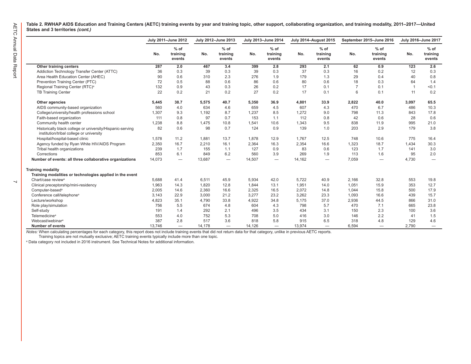$\overline{\phantom{0}}$ 

**Table 2. RWHAP AIDS Education and Training Centers (AETC) training events by year and training topic, other support, collaborating organization, and training modality, 2011–2017—United States and 3 territories** *(cont.)*

|                                                                                                       |        | July 2011-June 2012          |        | July 2012-June 2013          |        | July 2013-June 2014          |        | <b>July 2014-August 2015</b> | September 2015-June 2016 |                              | July 2016-June 2017 |                              |
|-------------------------------------------------------------------------------------------------------|--------|------------------------------|--------|------------------------------|--------|------------------------------|--------|------------------------------|--------------------------|------------------------------|---------------------|------------------------------|
|                                                                                                       | No.    | $%$ of<br>training<br>events | No.    | $%$ of<br>training<br>events | No.    | $%$ of<br>training<br>events | No.    | $%$ of<br>training<br>events | No.                      | $%$ of<br>training<br>events | No.                 | $%$ of<br>training<br>events |
| Other training centers                                                                                | 287    | 2.0                          | 467    | 3.4                          | 399    | 2.8                          | 293    | 2.1                          | 62                       | 0.9                          | 123                 | 2.6                          |
| Addiction Technology Transfer Center (ATTC)                                                           | 36     | 0.3                          | 39     | 0.3                          | 39     | 0.3                          | 37     | 0.3                          | 16                       | 0.2                          | 12                  | 0.3                          |
| Area Health Education Center (AHEC)                                                                   | 90     | 0.6                          | 310    | 2.3                          | 276    | 1.9                          | 179    | 1.3                          | 29                       | 0.4                          | 40                  | 0.8                          |
| Prevention Training Center (PTC)                                                                      | 72     | 0.5                          | 88     | 0.6                          | 86     | 0.6                          | 80     | 0.6                          | 18                       | 0.3                          | 64                  | 1.4                          |
| Regional Training Center (RTC) <sup>a</sup>                                                           | 132    | 0.9                          | 43     | 0.3                          | 26     | 0.2                          | 17     | 0.1                          | $\overline{7}$           | 0.1                          |                     | < 0.1                        |
| <b>TB Training Center</b>                                                                             | 22     | 0.2                          | 21     | 0.2                          | 27     | 0.2                          | 17     | 0.1                          | 6                        | 0.1                          | 11                  | 0.2                          |
| Other agencies                                                                                        | 5,445  | 38.7                         | 5,575  | 40.7                         | 5,350  | 36.9                         | 4,801  | 33.9                         | 2,822                    | 40.0                         | 3,097               | 65.5                         |
| AIDS community-based organization                                                                     | 560    | 4.0                          | 634    | 4.6                          | 659    | 4.5                          | 607    | 4.3                          | 470                      | 6.7                          | 486                 | 10.3                         |
| College/university/health professions school                                                          | 1,307  | 9.3                          | 1,192  | 8.7                          | 1,237  | 8.5                          | 1,272  | 9.0                          | 798                      | 11.3                         | 843                 | 17.8                         |
| Faith-based organization                                                                              | 111    | 0.8                          | 97     | 0.7                          | 153    | 1.1                          | 112    | 0.8                          | 42                       | 0.6                          | 28                  | 0.6                          |
| Community health center                                                                               | 1,238  | 8.8                          | 1,475  | 10.8                         | 1,541  | 10.6                         | 1,343  | 9.5                          | 838                      | 11.9                         | 995                 | 21.0                         |
| Historically black college or university/Hispanic-serving<br>institution/tribal college or university | 82     | 0.6                          | 98     | 0.7                          | 124    | 0.9                          | 139    | 1.0                          | 203                      | 2.9                          | 179                 | 3.8                          |
| Hospital/hospital-based clinic                                                                        | 1,578  | 11.2                         | 1,881  | 13.7                         | 1,878  | 12.9                         | 1,767  | 12.5                         | 748                      | 10.6                         | 775                 | 16.4                         |
| Agency funded by Ryan White HIV/AIDS Program                                                          | 2,350  | 16.7                         | 2,210  | 16.1                         | 2,364  | 16.3                         | 2,354  | 16.6                         | 1,323                    | 18.7                         | 1,434               | 30.3                         |
| Tribal health organizations                                                                           | 239    | 1.7                          | 155    | 1.1                          | 127    | 0.9                          | 83     | 0.6                          | 123                      | 1.7                          | 141                 | 3.0                          |
| Corrections                                                                                           | 853    | 6.1                          | 849    | 6.2                          | 560    | 3.9                          | 269    | 1.9                          | 113                      | 1.6                          | 95                  | 2.0                          |
| Number of events: all three collaborative organizations                                               | 14,073 | $\overline{\phantom{m}}$     | 13,687 | $\overline{\phantom{0}}$     | 14,507 | $\overline{\phantom{0}}$     | 14,162 |                              | 7,059                    |                              | 4,730               | $\overline{\phantom{m}}$     |
| <b>Training modality</b>                                                                              |        |                              |        |                              |        |                              |        |                              |                          |                              |                     |                              |
| Training modalities or technologies applied in the event                                              |        |                              |        |                              |        |                              |        |                              |                          |                              |                     |                              |
| Chart/case review <sup>a</sup>                                                                        | 5,688  | 41.4                         | 6,511  | 45.9                         | 5,934  | 42.0                         | 5,722  | 40.9                         | 2,166                    | 32.8                         | 553                 | 19.8                         |
| Clinical preceptorship/mini-residency                                                                 | 1,963  | 14.3                         | 1,820  | 12.8                         | 1,844  | 13.1                         | 1,951  | 14.0                         | 1,051                    | 15.9                         | 353                 | 12.7                         |
| Computer-based <sup>a</sup>                                                                           | 2,005  | 14.6                         | 2,360  | 16.6                         | 2,325  | 16.5                         | 2,072  | 14.8                         | 1.044                    | 15.8                         | 500                 | 17.9                         |
| Conference call/telephone <sup>a</sup>                                                                | 3,143  | 22.9                         | 3,000  | 21.2                         | 3,277  | 23.2                         | 3,262  | 23.3                         | 1,093                    | 16.6                         | 439                 | 15.7                         |
| Lecture/workshop                                                                                      | 4,823  | 35.1                         | 4,790  | 33.8                         | 4,922  | 34.8                         | 5,175  | 37.0                         | 2,936                    | 44.5                         | 866                 | 31.0                         |
| Role play/simulation                                                                                  | 756    | 5.5                          | 674    | 4.8                          | 604    | 4.3                          | 798    | 5.7                          | 470                      | 7.1                          | 665                 | 23.8                         |
| Self-study                                                                                            | 191    | 1.4                          | 292    | 2.1                          | 496    | 3.5                          | 434    | 3.1                          | 150                      | 2.3                          | 100                 | 3.6                          |
| Telemedicine <sup>a</sup>                                                                             | 553    | 4.0                          | 752    | 5.3                          | 708    | 5.0                          | 416    | 3.0                          | 146                      | 2.2                          | 41                  | 1.5                          |
| Webcast/webinar <sup>a</sup>                                                                          | 387    | 2.8                          | 517    | 3.6                          | 818    | 5.8                          | 915    | 6.5                          | 318                      | 4.8                          | 129                 | 4.6                          |
| <b>Number of events</b>                                                                               | 13.746 | $\overline{\phantom{0}}$     | 14.178 | $\overline{\phantom{0}}$     | 14.126 | $\overline{\phantom{0}}$     | 13.974 |                              | 6.594                    |                              | 2.790               |                              |

*Notes:* When calculating percentages for each category, this report does not include training events that did not return data for that category, unlike in previous AETC reports.

Training topics are not mutually exclusive; AETC training events typically include more than one topic.

a Data category not included in 2016 instrument. See Technical Notes for additional information.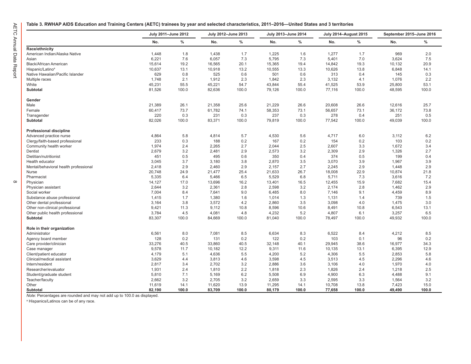$\infty$ 

#### <span id="page-10-0"></span>**Table 3. RWHAP AIDS Education and Training Centers (AETC) trainees by year and selected characteristics, 2011–2016—United States and 3 territories**

|                                       | July 2011-June 2012 |       | July 2012-June 2013 |       | July 2013-June 2014 |       |        | <b>July 2014-August 2015</b> | September 2015-June 2016 |       |
|---------------------------------------|---------------------|-------|---------------------|-------|---------------------|-------|--------|------------------------------|--------------------------|-------|
|                                       | No.                 | $\%$  | No.                 | $\%$  | No.                 | $\%$  | No.    | $\%$                         | No.                      | $\%$  |
| Race/ethnicity                        |                     |       |                     |       |                     |       |        |                              |                          |       |
| American Indian/Alaska Native         | 1,448               | 1.8   | 1,438               | 1.7   | 1,225               | 1.6   | 1,277  | 1.7                          | 969                      | 2.0   |
| Asian                                 | 6,221               | 7.6   | 6,057               | 7.3   | 5,795               | 7.3   | 5,401  | 7.0                          | 3,624                    | 7.5   |
| Black/African American                | 15,614              | 19.2  | 16,565              | 20.1  | 15,365              | 19.4  | 14,842 | 19.3                         | 10,132                   | 20.9  |
| Hispanic/Latino <sup>a</sup>          | 10,637              | 13.1  | 10,918              | 13.2  | 10,555              | 13.3  | 10,626 | 13.8                         | 6,848                    | 14.1  |
| Native Hawaiian/Pacific Islander      | 629                 | 0.8   | 525                 | 0.6   | 501                 | 0.6   | 313    | 0.4                          | 145                      | 0.3   |
| Multiple races                        | 1,748               | 2.1   | 1,912               | 2.3   | 1,842               | 2.3   | 3,132  | 4.1                          | 1,076                    | 2.2   |
| White                                 | 45,231              | 55.5  | 45,221              | 54.7  | 43,844              | 55.4  | 41,525 | 53.9                         | 25,800                   | 53.1  |
| Subtotal                              | 81,526              | 100.0 | 82,636              | 100.0 | 79,126              | 100.0 | 77,116 | 100.0                        | 48,595                   | 100.0 |
| Gender                                |                     |       |                     |       |                     |       |        |                              |                          |       |
| Male                                  | 21,389              | 26.1  | 21,358              | 25.6  | 21,229              | 26.6  | 20,608 | 26.6                         | 12,616                   | 25.7  |
| Female                                | 60,417              | 73.7  | 61,782              | 74.1  | 58,353              | 73.1  | 56,657 | 73.1                         | 36,172                   | 73.8  |
| Transgender                           | 220                 | 0.3   | 231                 | 0.3   | 237                 | 0.3   | 278    | 0.4                          | 251                      | 0.5   |
| Subtotal                              | 82,026              | 100.0 | 83,371              | 100.0 | 79,819              | 100.0 | 77,542 | 100.0                        | 49,039                   | 100.0 |
| <b>Professional discipline</b>        |                     |       |                     |       |                     |       |        |                              |                          |       |
| Advanced practice nurse               | 4,864               | 5.8   | 4,814               | 5.7   | 4,530               | 5.6   | 4,717  | 6.0                          | 3,112                    | 6.2   |
| Clergy/faith-based professional       | 233                 | 0.3   | 188                 | 0.2   | 167                 | 0.2   | 154    | 0.2                          | 103                      | 0.2   |
| Community health worker               | 1,974               | 2.4   | 2,265               | 2.7   | 2,044               | 2.5   | 2,607  | 3.3                          | 1,672                    | 3.4   |
| Dentist                               | 2,679               | 3.2   | 2,481               | 2.9   | 2,573               | 3.2   | 2,309  | 2.9                          | 1,326                    | 2.7   |
| Dietitian/nutritionist                | 451                 | 0.5   | 495                 | 0.6   | 350                 | 0.4   | 374    | 0.5                          | 199                      | 0.4   |
| Health educator                       | 3,045               | 3.7   | 3,180               | 3.8   | 2,870               | 3.5   | 3,070  | 3.9                          | 1,967                    | 3.9   |
| Mental/behavioral health professional | 2,418               | 2.9   | 2,460               | 2.9   | 2,157               | 2.7   | 2,245  | 2.9                          | 1,448                    | 2.9   |
| Nurse                                 | 20,748              | 24.9  | 21,477              | 25.4  | 21,633              | 26.7  | 18,008 | 22.9                         | 10,874                   | 21.8  |
| Pharmacist                            | 5,335               | 6.4   | 5,466               | 6.5   | 5,529               | 6.8   | 5,711  | 7.3                          | 3,616                    | 7.2   |
| Physician                             | 14,127              | 17.0  | 13,696              | 16.2  | 13,401              | 16.5  | 12,455 | 15.9                         | 7,682                    | 15.4  |
| Physician assistant                   | 2,644               | 3.2   | 2,361               | 2.8   | 2,598               | 3.2   | 2,174  | 2.8                          | 1,462                    | 2.9   |
| Social worker                         | 7,004               | 8.4   | 7,641               | 9.0   | 6,485               | 8.0   | 7,146  | 9.1                          | 4,459                    | 8.9   |
| Substance abuse professional          | 1,415               | 1.7   | 1,380               | 1.6   | 1,014               | 1.3   | 1,131  | 1.4                          | 739                      | 1.5   |
| Other dental professional             | 3,164               | 3.8   | 3,572               | 4.2   | 2,860               | 3.5   | 3,098  | 4.0                          | 1,475                    | 3.0   |
| Other non-clinical professional       | 9,421               | 11.3  | 9,112               | 10.8  | 8,596               | 10.6  | 8,491  | 10.8                         | 6,543                    | 13.1  |
| Other public health professional      | 3,784               | 4.5   | 4,081               | 4.8   | 4,232               | 5.2   | 4,807  | 6.1                          | 3,257                    | 6.5   |
| Subtotal                              | 83,307              | 100.0 | 84,669              | 100.0 | 81,040              | 100.0 | 78,497 | 100.0                        | 49,932                   | 100.0 |
| Role in their organization            |                     |       |                     |       |                     |       |        |                              |                          |       |
| Administrator                         | 6,561               | 8.0   | 7,081               | 8.5   | 6,634               | 8.3   | 6,522  | 8.4                          | 4,212                    | 8.5   |
| Agency board member                   | 128                 | 0.2   | 131                 | 0.2   | 122                 | 0.2   | 103    | 0.1                          | 96                       | 0.2   |
| Care provider/clinician               | 33,276              | 40.5  | 33,860              | 40.5  | 32,148              | 40.1  | 29,945 | 38.6                         | 16,977                   | 34.3  |
| Case manager                          | 9,578               | 11.7  | 10,182              | 12.2  | 9,311               | 11.6  | 10,135 | 13.1                         | 6,395                    | 12.9  |
| Client/patient educator               | 4,179               | 5.1   | 4,636               | 5.5   | 4,200               | 5.2   | 4,306  | 5.5                          | 2,853                    | 5.8   |
| Clinical/medical assistant            | 3,629               | 4.4   | 3,813               | 4.6   | 3,598               | 4.5   | 3,513  | 4.5                          | 2,296                    | 4.6   |
| Intern/resident                       | 2,817               | 3.4   | 2,702               | 3.2   | 2,886               | 3.6   | 3,106  | 4.0                          | 1,970                    | 4.0   |
| Researcher/evaluator                  | 1,931               | 2.4   | 1,810               | 2.2   | 1,818               | 2.3   | 1,826  | 2.4                          | 1,218                    | 2.5   |
| Student/graduate student              | 5,810               | 7.1   | 5,169               | 6.2   | 5,508               | 6.9   | 4,900  | 6.3                          | 4,488                    | 9.1   |
| Teacher/faculty                       | 2,662               | 3.2   | 2,705               | 3.2   | 2,659               | 3.3   | 2,595  | 3.3                          | 1,564                    | 3.2   |
| Other                                 | 11,619              | 14.1  | 11,620              | 13.9  | 11,295              | 14.1  | 10,708 | 13.8                         | 7,423                    | 15.0  |
| Subtotal                              | 82,190              | 100.0 | 83,709              | 100.0 | 80,179              | 100.0 | 77,658 | 100.0                        | 49,490                   | 100.0 |

*Note:* Percentages are rounded and may not add up to 100.0 as displayed.

a Hispanics/Latinos can be of any race.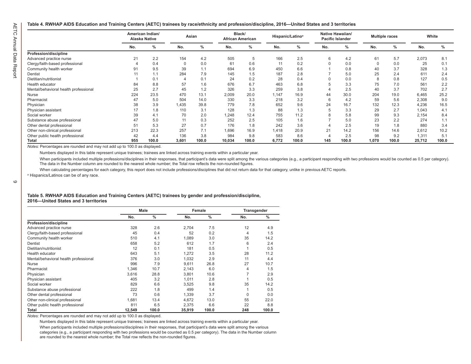#### <span id="page-11-0"></span>**Table 4. RWHAP AIDS Education and Training Centers (AETC) trainees by race/ethnicity and profession/discipline, 2016—United States and 3 territories**

|                                       |     | American Indian/<br><b>Alaska Native</b> |       | Asian |        | Black/<br><b>African American</b> |       | Hispanic/Latino <sup>a</sup> |     | Native Hawaiian/<br><b>Pacific Islander</b> |       | <b>Multiple races</b> |        | White |  |
|---------------------------------------|-----|------------------------------------------|-------|-------|--------|-----------------------------------|-------|------------------------------|-----|---------------------------------------------|-------|-----------------------|--------|-------|--|
|                                       | No. | %                                        | No.   | $\%$  | No.    | %                                 | No.   | %                            | No. | $\%$                                        | No.   | %                     | No.    | %     |  |
| Profession/discipline                 |     |                                          |       |       |        |                                   |       |                              |     |                                             |       |                       |        |       |  |
| Advanced practice nurse               | 21  | 2.2                                      | 154   | 4.2   | 505    | 5                                 | 166   | 2.5                          | 6   | 4.2                                         | 61    | 5.7                   | 2,073  | 8.1   |  |
| Clergy/faith-based professional       |     | 0.4                                      |       | 0.0   | 61     | 0.6                               | 11    | 0.2                          |     | 0.0                                         |       | 0.0                   | 25     | 0.1   |  |
| Community health worker               | 91  | 9.5                                      | 39    | 1.1   | 694    | 6.9                               | 450   | 6.6                          |     | 0.8                                         | 40    | 3.7                   | 328    | 1.3   |  |
| Dentist                               |     | 1.1                                      | 284   | 7.9   | 145    | 1.5                               | 187   | 2.8                          |     | 5.0                                         | 25    | 2.4                   | 611    | 2.4   |  |
| Dietitian/nutritionist                |     | 0.1                                      |       | 0.1   | 24     | 0.2                               | 28    | 0.4                          |     | 0.0                                         |       | 0.8                   | 127    | 0.5   |  |
| Health educator                       | 84  | 8.8                                      | 57    | 1.6   | 676    | 6.7                               | 463   | 6.8                          |     | 3.3                                         | 75    | 7.0                   | 561    | 2.2   |  |
| Mental/behavioral health professional | 25  | 2.7                                      | 45    | 1.2   | 326    | 3.3                               | 259   | 3.8                          |     | 2.5                                         | 40    | 3.7                   | 702    | 2.7   |  |
| Nurse                                 | 224 | 23.5                                     | 470   | 13.1  | 2,009  | 20.0                              | 1.147 | 16.9                         | 44  | 30.0                                        | 204   | 19.0                  | 6,465  | 25.2  |  |
| Pharmacist                            | 47  | 5.0                                      | 504   | 14.0  | 330    | 3.3                               | 218   | 3.2                          | 6   | 4.2                                         | 59    | 5.6                   | 2,308  | 9.0   |  |
| Physician                             | 38  | 3.9                                      | .435  | 39.8  | 779    | 7.8                               | 652   | 9.6                          | 24  | 16.7                                        | 132   | 12.3                  | 4,236  | 16.5  |  |
| Physician assistant                   |     | 1.8                                      | 110   | 3.1   | 128    | 1.3                               | 88    | 1.3                          |     | 3.3                                         | 29    | 2.7                   | 1,043  | 4.1   |  |
| Social worker                         | 39  | 4.1                                      | 70    | 2.0   | 1.248  | 12.4                              | 755   | 11.2                         |     | 5.8                                         | 99    | 9.3                   | 2,154  | 8.4   |  |
| Substance abuse professional          | 47  | 5.0                                      | 11    | 0.3   | 252    | 2.5                               | 105   | 1.6                          |     | 5.0                                         | 23    | 2.2                   | 274    | 1.1   |  |
| Other dental professional             | 51  | 5.3                                      | 27    | 0.7   | 176    | 1.8                               | 242   | 3.6                          |     | 2.5                                         | 19    | 1.8                   | 880    | 3.4   |  |
| Other non-clinical professional       | 213 | 22.3                                     | 257   | 7.1   | 1,696  | 16.9                              | 1,418 | 20.9                         | 21  | 14.2                                        | 156   | 14.6                  | 2,612  | 10.2  |  |
| Other public health professional      | 42  | 4.4                                      | 136   | 3.8   | 984    | 9.8                               | 583   | 8.6                          |     | 2.5                                         | 98    | 9.2                   | 1,311  | 5.1   |  |
| <b>Total</b>                          | 955 | 100.0                                    | 3,601 | 100.0 | 10,034 | 100.0                             | 6,772 | 100.0                        | 145 | 100.0                                       | 1,070 | 100.0                 | 25,712 | 100.0 |  |

*Notes:* Percentages are rounded and may not add up to 100.0 as displayed.

Numbers displayed in this table represent unique trainees; trainees are linked across training events within a particular year.

When participants included multiple professions/disciplines in their responses, that participant's data were split among the various categories (e.g., a participant responding with two professions would be counted as 0.5 p The data in the Number column are rounded to the nearest whole number; the Total row reflects the non-rounded figures.

When calculating percentages for each category, this report does not include professions/disciplines that did not return data for that category, unlike in previous AETC reports.

a Hispanics/Latinos can be of any race.

 $\circ$ 

#### **Table 5. RWHAP AIDS Education and Training Centers (AETC) trainees by gender and profession/discipline, 2016—United States and 3 territories**

|                                       |        | Male          |        | Female | Transgender |               |
|---------------------------------------|--------|---------------|--------|--------|-------------|---------------|
|                                       | No.    | $\frac{0}{0}$ | No.    | $\%$   | No.         | $\frac{0}{0}$ |
| Profession/discipline                 |        |               |        |        |             |               |
| Advanced practice nurse               | 328    | 2.6           | 2,704  | 7.5    | 12          | 4.9           |
| Clergy/faith-based professional       | 45     | 0.4           | 52     | 0.2    | 4           | 1.5           |
| Community health worker               | 510    | 4.1           | 1,089  | 3.0    | 35          | 14.2          |
| Dentist                               | 658    | 5.2           | 612    | 1.7    | 6           | 2.4           |
| Dietitian/nutritionist                | 12     | 0.1           | 181    | 0.5    |             | 0.5           |
| Health educator                       | 643    | 5.1           | 1,272  | 3.5    | 28          | 11.2          |
| Mental/behavioral health professional | 376    | 3.0           | 1,032  | 2.9    | 11          | 4.4           |
| Nurse                                 | 996    | 7.9           | 9,611  | 26.8   | 27          | 10.7          |
| Pharmacist                            | 1,346  | 10.7          | 2,143  | 6.0    | 4           | 1.5           |
| Physician                             | 3,616  | 28.8          | 3,801  | 10.6   | 7           | 2.9           |
| Physician assistant                   | 405    | 3.2           | 1,011  | 2.8    |             | 0.5           |
| Social worker                         | 829    | 6.6           | 3,525  | 9.8    | 35          | 14.2          |
| Substance abuse professional          | 222    | 1.8           | 499    | 1.4    |             | 0.5           |
| Other dental professional             | 73     | 0.6           | 1,339  | 3.7    | $\Omega$    | 0.0           |
| Other non-clinical professional       | 1.681  | 13.4          | 4.672  | 13.0   | 55          | 22.0          |
| Other public health professional      | 811    | 6.5           | 2,375  | 6.6    | 22          | 8.8           |
| Total                                 | 12,549 | 100.0         | 35,919 | 100.0  | 248         | 100.0         |

*Notes:* Percentages are rounded and may not add up to 100.0 as displayed.

Numbers displayed in this table represent unique trainees; trainees are linked across training events within a particular year.

When participants included multiple professions/disciplines in their responses, that participant's data were split among the various categories (e.g., a participant responding with two professions would be counted as 0.5 per category). The data in the Number column are rounded to the nearest whole number; the Total row reflects the non-rounded figures.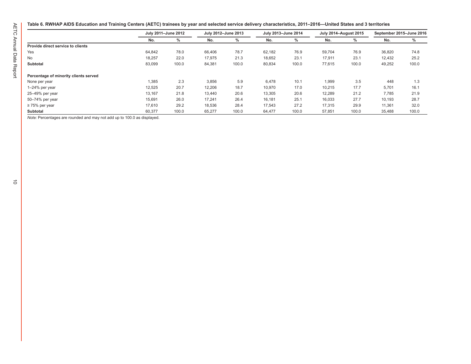#### <span id="page-12-0"></span>**Table 6. RWHAP AIDS Education and Training Centers (AETC) trainees by year and selected service delivery characteristics, 2011–2016—United States and 3 territories**

|                                       | July 2011-June 2012 |       | July 2012-June 2013 |       | July 2013-June 2014 |       | <b>July 2014-August 2015</b> |       | September 2015-June 2016 |       |
|---------------------------------------|---------------------|-------|---------------------|-------|---------------------|-------|------------------------------|-------|--------------------------|-------|
|                                       | No.                 | $\%$  | No.                 | $\%$  | No.                 | $\%$  | No.                          | ℅     | No.                      | %     |
| Provide direct service to clients     |                     |       |                     |       |                     |       |                              |       |                          |       |
| Yes                                   | 64,842              | 78.0  | 66,406              | 78.7  | 62,182              | 76.9  | 59.704                       | 76.9  | 36,820                   | 74.8  |
| No                                    | 18,257              | 22.0  | 17,975              | 21.3  | 18,652              | 23.1  | 17,911                       | 23.1  | 12,432                   | 25.2  |
| Subtotal                              | 83,099              | 100.0 | 84,381              | 100.0 | 80,834              | 100.0 | 77,615                       | 100.0 | 49,252                   | 100.0 |
| Percentage of minority clients served |                     |       |                     |       |                     |       |                              |       |                          |       |
| None per year                         | 1,385               | 2.3   | 3,856               | 5.9   | 6,478               | 10.1  | 1,999                        | 3.5   | 448                      | 1.3   |
| $1-24\%$ per year                     | 12,525              | 20.7  | 12,206              | 18.7  | 10,970              | 17.0  | 10,215                       | 17.7  | 5,701                    | 16.1  |
| 25–49% per year                       | 13,167              | 21.8  | 13.440              | 20.6  | 13,305              | 20.6  | 12.289                       | 21.2  | 7.785                    | 21.9  |
| 50-74% per year                       | 15,691              | 26.0  | 17,241              | 26.4  | 16,181              | 25.1  | 16,033                       | 27.7  | 10,193                   | 28.7  |
| $\geq$ 75% per year                   | 17,610              | 29.2  | 18,536              | 28.4  | 17,543              | 27.2  | 17,315                       | 29.9  | 11,361                   | 32.0  |
| <b>Subtotal</b>                       | 60,377              | 100.0 | 65,277              | 100.0 | 64.477              | 100.0 | 57,851                       | 100.0 | 35,488                   | 100.0 |

*Note:* Percentages are rounded and may not add up to 100.0 as displayed.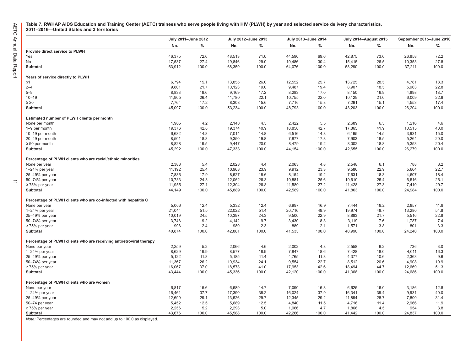$\ensuremath{\vec{\rightharpoonup}}$ 

<span id="page-13-0"></span>**Table 7. RWHAP AIDS Education and Training Center (AETC) trainees who serve people living with HIV (PLWH) by year and selected service delivery characteristics, 2011–2016—United States and 3 territories**

|                                                                     |        | July 2011-June 2012 |        | July 2012-June 2013 |        | July 2013-June 2014 |        | <b>July 2014-August 2015</b> | September 2015-June 2016 |       |
|---------------------------------------------------------------------|--------|---------------------|--------|---------------------|--------|---------------------|--------|------------------------------|--------------------------|-------|
|                                                                     | No.    | $\%$                | No.    | $\%$                | No.    | $\%$                | No.    | $\%$                         | No.                      | %     |
| Provide direct service to PLWH                                      |        |                     |        |                     |        |                     |        |                              |                          |       |
| Yes                                                                 | 46,375 | 72.6                | 48,513 | 71.0                | 44,590 | 69.6                | 42,875 | 73.6                         | 26,858                   | 72.2  |
| No                                                                  | 17,537 | 27.4                | 19,846 | 29.0                | 19,486 | 30.4                | 15,415 | 26.5                         | 10,353                   | 27.8  |
| Subtotal                                                            | 63,912 | 100.0               | 68,359 | 100.0               | 64,076 | 100.0               | 58,290 | 100.0                        | 37,211                   | 100.0 |
| Years of service directly to PLWH                                   |        |                     |        |                     |        |                     |        |                              |                          |       |
| $\leq 1$                                                            | 6,794  | 15.1                | 13,855 | 26.0                | 12,552 | 25.7                | 13,725 | 28.5                         | 4,781                    | 18.3  |
| $2 - 4$                                                             | 9,801  | 21.7                | 10,123 | 19.0                | 9,487  | 19.4                | 8,907  | 18.5                         | 5,963                    | 22.8  |
| $5 - 9$                                                             | 8,833  | 19.6                | 9,169  | 17.2                | 8,283  | 17.0                | 8,150  | 16.9                         | 4,898                    | 18.7  |
| $10 - 19$                                                           | 11,905 | 26.4                | 11,780 | 22.1                | 10,755 | 22.0                | 10,129 | 21.0                         | 6,009                    | 22.9  |
| $\geq 20$                                                           | 7,764  | 17.2                | 8,308  | 15.6                | 7,716  | 15.8                | 7,291  | 15.1                         | 4,553                    | 17.4  |
| Subtotal                                                            | 45,097 | 100.0               | 53,234 | 100.0               | 48,793 | 100.0               | 48,203 | 100.0                        | 26,204                   | 100.0 |
| Estimated number of PLWH clients per month                          |        |                     |        |                     |        |                     |        |                              |                          |       |
| None per month                                                      | 1,905  | 4.2                 | 2,148  | 4.5                 | 2,422  | 5.5                 | 2,689  | 6.3                          | 1,216                    | 4.6   |
| 1-9 per month                                                       | 19,376 | 42.8                | 19,374 | 40.9                | 18,858 | 42.7                | 17,865 | 41.9                         | 10,515                   | 40.0  |
| 10-19 per month                                                     | 6,682  | 14.8                | 7,014  | 14.8                | 6,516  | 14.8                | 6,195  | 14.5                         | 3,931                    | 15.0  |
| 20-49 per month                                                     | 8,501  | 18.8                | 9,350  | 19.8                | 7,877  | 17.8                | 7,903  | 18.5                         | 5,264                    | 20.0  |
| $\geq 50$ per month                                                 | 8,828  | 19.5                | 9,447  | 20.0                | 8,479  | 19.2                | 8,002  | 18.8                         | 5,353                    | 20.4  |
| Subtotal                                                            | 45,292 | 100.0               | 47,333 | 100.0               | 44,154 | 100.0               | 42,655 | 100.0                        | 26,279                   | 100.0 |
| Percentage of PLWH clients who are racial/ethnic minorities         |        |                     |        |                     |        |                     |        |                              |                          |       |
| None per year                                                       | 2,383  | 5.4                 | 2,028  | 4.4                 | 2,063  | 4.8                 | 2,548  | 6.1                          | 788                      | 3.2   |
| 1-24% per year                                                      | 11,192 | 25.4                | 10,968 | 23.9                | 9,912  | 23.3                | 9,586  | 22.9                         | 5,664                    | 22.7  |
| 25-49% per year                                                     | 7,886  | 17.9                | 8,527  | 18.6                | 8,154  | 19.2                | 7,631  | 18.3                         | 4,607                    | 18.4  |
| 50-74% per year                                                     | 10,733 | 24.3                | 12,062 | 26.3                | 10,881 | 25.6                | 10,610 | 25.4                         | 6,516                    | 26.1  |
| $\geq$ 75% per year                                                 | 11,955 | 27.1                | 12,304 | 26.8                | 11,580 | 27.2                | 11,428 | 27.3                         | 7,410                    | 29.7  |
| Subtotal                                                            | 44,149 | 100.0               | 45,889 | 100.0               | 42,589 | 100.0               | 41,803 | 100.0                        | 24,984                   | 100.0 |
| Percentage of PLWH clients who are co-infected with hepatitis C     |        |                     |        |                     |        |                     |        |                              |                          |       |
| None per year                                                       | 5,066  | 12.4                | 5,332  | 12.4                | 6,997  | 16.9                | 7,444  | 18.2                         | 2,857                    | 11.8  |
| 1-24% per year                                                      | 21,044 | 51.5                | 22,022 | 51.4                | 20,716 | 49.9                | 19,974 | 48.7                         | 13,280                   | 54.8  |
| 25-49% per year                                                     | 10,019 | 24.5                | 10,397 | 24.3                | 9,500  | 22.9                | 8,883  | 21.7                         | 5,516                    | 22.8  |
| 50-74% per year                                                     | 3,748  | 9.2                 | 4,142  | 9.7                 | 3,430  | 8.3                 | 3,119  | 7.6                          | 1,787                    | 7.4   |
| $\geq$ 75% per year                                                 | 998    | 2.4                 | 989    | 2.3                 | 889    | 2.1                 | 1,571  | 3.8                          | 801                      | 3.3   |
| Subtotal                                                            | 40,874 | 100.0               | 42,881 | 100.0               | 41,533 | 100.0               | 40,990 | 100.0                        | 24,240                   | 100.0 |
| Percentage of PLWH clients who are receiving antiretroviral therapy |        |                     |        |                     |        |                     |        |                              |                          |       |
| None per year                                                       | 2,259  | 5.2                 | 2,066  | 4.6                 | 2,002  | 4.8                 | 2,558  | 6.2                          | 736                      | 3.0   |
| 1-24% per year                                                      | 8,629  | 19.9                | 8,577  | 18.9                | 7,847  | 18.6                | 7,428  | 18.0                         | 4,011                    | 16.3  |
| 25-49% per year                                                     | 5,122  | 11.8                | 5,185  | 11.4                | 4,765  | 11.3                | 4,377  | 10.6                         | 2,363                    | 9.6   |
| 50-74% per year                                                     | 11,367 | 26.2                | 10,934 | 24.1                | 9,554  | 22.7                | 8,512  | 20.6                         | 4,908                    | 19.9  |
| $\geq$ 75% per year                                                 | 16,067 | 37.0                | 18,573 | 41.0                | 17,953 | 42.6                | 18,494 | 44.7                         | 12,669                   | 51.3  |
| Subtotal                                                            | 43,444 | 100.0               | 45,336 | 100.0               | 42,120 | 100.0               | 41,368 | 100.0                        | 24,686                   | 100.0 |
| Percentage of PLWH clients who are women                            |        |                     |        |                     |        |                     |        |                              |                          |       |
| None per year                                                       | 6,817  | 15.6                | 6,689  | 14.7                | 7,090  | 16.8                | 6,625  | 16.0                         | 3,186                    | 12.8  |
| 1-24% per year                                                      | 16,461 | 37.7                | 17,390 | 38.2                | 16,024 | 37.9                | 16,341 | 39.4                         | 9,931                    | 40.0  |
| 25-49% per year                                                     | 12,690 | 29.1                | 13,526 | 29.7                | 12,345 | 29.2                | 11,894 | 28.7                         | 7,800                    | 31.4  |
| 50-74 per year                                                      | 5,452  | 12.5                | 5,689  | 12.5                | 4,840  | 11.5                | 4,716  | 11.4                         | 2,966                    | 11.9  |
| $\geq$ 75% per year                                                 | 2,256  | 5.2                 | 2,293  | 5.0                 | 1,966  | 4.7                 | 1,866  | 4.5                          | 954                      | 3.8   |
| Subtotal                                                            | 43,676 | 100.0               | 45,588 | 100.0               | 42,266 | 100.0               | 41,442 | 100.0                        | 24,837                   | 100.0 |

*Note:* Percentages are rounded and may not add up to 100.0 as displayed.